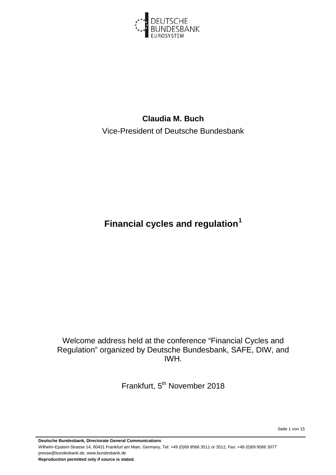

# **Claudia M. Buch** Vice-President of Deutsche Bundesbank

**Financial cycles and regulation[1](#page-14-0)**

Welcome address held at the conference "Financial Cycles and Regulation" organized by Deutsche Bundesbank, SAFE, DIW, and IWH.

Frankfurt, 5<sup>th</sup> November 2018

Seite 1 von 15

**Deutsche Bundesbank, Directorate General Communications** Wilhelm-Epstein-Strasse 14, 60431 Frankfurt am Main, Germany, Tel: +49 (0)69 9566 3511 or 3512, Fax: +49 (0)69 9566 3077 presse@bundesbank.de, www.bundesbank.de **Reproduction permitted only if source is stated.**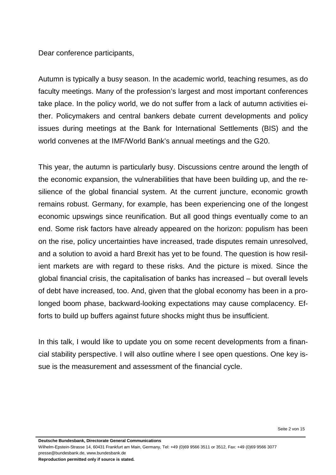Dear conference participants,

Autumn is typically a busy season. In the academic world, teaching resumes, as do faculty meetings. Many of the profession's largest and most important conferences take place. In the policy world, we do not suffer from a lack of autumn activities either. Policymakers and central bankers debate current developments and policy issues during meetings at the Bank for International Settlements (BIS) and the world convenes at the IMF/World Bank's annual meetings and the G20.

This year, the autumn is particularly busy. Discussions centre around the length of the economic expansion, the vulnerabilities that have been building up, and the resilience of the global financial system. At the current juncture, economic growth remains robust. Germany, for example, has been experiencing one of the longest economic upswings since reunification. But all good things eventually come to an end. Some risk factors have already appeared on the horizon: populism has been on the rise, policy uncertainties have increased, trade disputes remain unresolved, and a solution to avoid a hard Brexit has yet to be found. The question is how resilient markets are with regard to these risks. And the picture is mixed. Since the global financial crisis, the capitalisation of banks has increased – but overall levels of debt have increased, too. And, given that the global economy has been in a prolonged boom phase, backward-looking expectations may cause complacency. Efforts to build up buffers against future shocks might thus be insufficient.

In this talk, I would like to update you on some recent developments from a financial stability perspective. I will also outline where I see open questions. One key issue is the measurement and assessment of the financial cycle.

Seite 2 von 15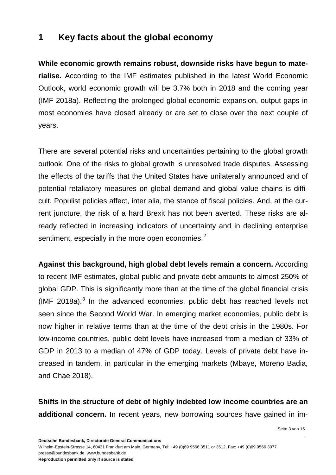### **1 Key facts about the global economy**

**While economic growth remains robust, downside risks have begun to materialise.** According to the IMF estimates published in the latest World Economic Outlook, world economic growth will be 3.7% both in 2018 and the coming year (IMF 2018a). Reflecting the prolonged global economic expansion, output gaps in most economies have closed already or are set to close over the next couple of years.

There are several potential risks and uncertainties pertaining to the global growth outlook. One of the risks to global growth is unresolved trade disputes. Assessing the effects of the tariffs that the United States have unilaterally announced and of potential retaliatory measures on global demand and global value chains is difficult. Populist policies affect, inter alia, the stance of fiscal policies. And, at the current juncture, the risk of a hard Brexit has not been averted. These risks are already reflected in increasing indicators of uncertainty and in declining enterprise sentiment, especially in the more open economies.<sup>[2](#page-14-1)</sup>

**Against this background, high global debt levels remain a concern.** According to recent IMF estimates, global public and private debt amounts to almost 250% of global GDP. This is significantly more than at the time of the global financial crisis (IMF 2018a). $3$  In the advanced economies, public debt has reached levels not seen since the Second World War. In emerging market economies, public debt is now higher in relative terms than at the time of the debt crisis in the 1980s. For low-income countries, public debt levels have increased from a median of 33% of GDP in 2013 to a median of 47% of GDP today. Levels of private debt have increased in tandem, in particular in the emerging markets (Mbaye, Moreno Badia, and Chae 2018).

**Shifts in the structure of debt of highly indebted low income countries are an additional concern.** In recent years, new borrowing sources have gained in im-

Seite 3 von 15

**Deutsche Bundesbank, Directorate General Communications**

Wilhelm-Epstein-Strasse 14, 60431 Frankfurt am Main, Germany, Tel: +49 (0)69 9566 3511 or 3512, Fax: +49 (0)69 9566 3077 presse@bundesbank.de, www.bundesbank.de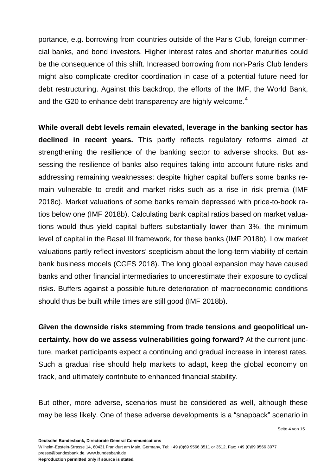portance, e.g. borrowing from countries outside of the Paris Club, foreign commercial banks, and bond investors. Higher interest rates and shorter maturities could be the consequence of this shift. Increased borrowing from non-Paris Club lenders might also complicate creditor coordination in case of a potential future need for debt restructuring. Against this backdrop, the efforts of the IMF, the World Bank, and the G20 to enhance debt transparency are highly welcome.<sup>[4](#page-14-3)</sup>

**While overall debt levels remain elevated, leverage in the banking sector has declined in recent years.** This partly reflects regulatory reforms aimed at strengthening the resilience of the banking sector to adverse shocks. But assessing the resilience of banks also requires taking into account future risks and addressing remaining weaknesses: despite higher capital buffers some banks remain vulnerable to credit and market risks such as a rise in risk premia (IMF 2018c). Market valuations of some banks remain depressed with price-to-book ratios below one (IMF 2018b). Calculating bank capital ratios based on market valuations would thus yield capital buffers substantially lower than 3%, the minimum level of capital in the Basel III framework, for these banks (IMF 2018b). Low market valuations partly reflect investors' scepticism about the long-term viability of certain bank business models (CGFS 2018). The long global expansion may have caused banks and other financial intermediaries to underestimate their exposure to cyclical risks. Buffers against a possible future deterioration of macroeconomic conditions should thus be built while times are still good (IMF 2018b).

**Given the downside risks stemming from trade tensions and geopolitical uncertainty, how do we assess vulnerabilities going forward?** At the current juncture, market participants expect a continuing and gradual increase in interest rates. Such a gradual rise should help markets to adapt, keep the global economy on track, and ultimately contribute to enhanced financial stability.

But other, more adverse, scenarios must be considered as well, although these may be less likely. One of these adverse developments is a "snapback" scenario in

**Deutsche Bundesbank, Directorate General Communications**

Wilhelm-Epstein-Strasse 14, 60431 Frankfurt am Main, Germany, Tel: +49 (0)69 9566 3511 or 3512, Fax: +49 (0)69 9566 3077 presse@bundesbank.de, www.bundesbank.de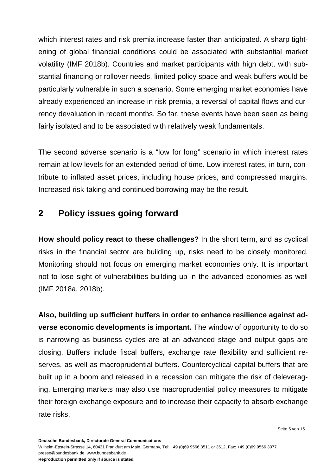which interest rates and risk premia increase faster than anticipated. A sharp tightening of global financial conditions could be associated with substantial market volatility (IMF 2018b). Countries and market participants with high debt, with substantial financing or rollover needs, limited policy space and weak buffers would be particularly vulnerable in such a scenario. Some emerging market economies have already experienced an increase in risk premia, a reversal of capital flows and currency devaluation in recent months. So far, these events have been seen as being fairly isolated and to be associated with relatively weak fundamentals.

The second adverse scenario is a "low for long" scenario in which interest rates remain at low levels for an extended period of time. Low interest rates, in turn, contribute to inflated asset prices, including house prices, and compressed margins. Increased risk-taking and continued borrowing may be the result.

## **2 Policy issues going forward**

**How should policy react to these challenges?** In the short term, and as cyclical risks in the financial sector are building up, risks need to be closely monitored. Monitoring should not focus on emerging market economies only. It is important not to lose sight of vulnerabilities building up in the advanced economies as well (IMF 2018a, 2018b).

**Also, building up sufficient buffers in order to enhance resilience against adverse economic developments is important.** The window of opportunity to do so is narrowing as business cycles are at an advanced stage and output gaps are closing. Buffers include fiscal buffers, exchange rate flexibility and sufficient reserves, as well as macroprudential buffers. Countercyclical capital buffers that are built up in a boom and released in a recession can mitigate the risk of deleveraging. Emerging markets may also use macroprudential policy measures to mitigate their foreign exchange exposure and to increase their capacity to absorb exchange rate risks.

Seite 5 von 15

Wilhelm-Epstein-Strasse 14, 60431 Frankfurt am Main, Germany, Tel: +49 (0)69 9566 3511 or 3512, Fax: +49 (0)69 9566 3077 presse@bundesbank.de, www.bundesbank.de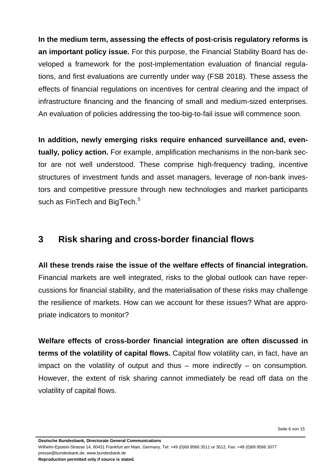**In the medium term, assessing the effects of post-crisis regulatory reforms is an important policy issue.** For this purpose, the Financial Stability Board has developed a framework for the post-implementation evaluation of financial regulations, and first evaluations are currently under way (FSB 2018). These assess the effects of financial regulations on incentives for central clearing and the impact of infrastructure financing and the financing of small and medium-sized enterprises. An evaluation of policies addressing the too-big-to-fail issue will commence soon.

**In addition, newly emerging risks require enhanced surveillance and, eventually, policy action.** For example, amplification mechanisms in the non-bank sector are not well understood. These comprise high-frequency trading, incentive structures of investment funds and asset managers, leverage of non-bank investors and competitive pressure through new technologies and market participants such as FinTech and BigTech.<sup>[5](#page-14-4)</sup>

#### **3 Risk sharing and cross-border financial flows**

**All these trends raise the issue of the welfare effects of financial integration.**  Financial markets are well integrated, risks to the global outlook can have repercussions for financial stability, and the materialisation of these risks may challenge the resilience of markets. How can we account for these issues? What are appropriate indicators to monitor?

**Welfare effects of cross-border financial integration are often discussed in terms of the volatility of capital flows.** Capital flow volatility can, in fact, have an impact on the volatility of output and thus  $-$  more indirectly  $-$  on consumption. However, the extent of risk sharing cannot immediately be read off data on the volatility of capital flows.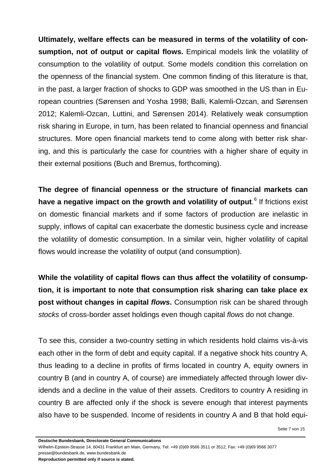**Ultimately, welfare effects can be measured in terms of the volatility of consumption, not of output or capital flows.** Empirical models link the volatility of consumption to the volatility of output. Some models condition this correlation on the openness of the financial system. One common finding of this literature is that, in the past, a larger fraction of shocks to GDP was smoothed in the US than in European countries (Sørensen and Yosha 1998; Balli, Kalemli-Ozcan, and Sørensen 2012; Kalemli-Ozcan, Luttini, and Sørensen 2014). Relatively weak consumption risk sharing in Europe, in turn, has been related to financial openness and financial structures. More open financial markets tend to come along with better risk sharing, and this is particularly the case for countries with a higher share of equity in their external positions (Buch and Bremus, forthcoming).

**The degree of financial openness or the structure of financial markets can have a negative impact on the growth and volatility of output**. [6](#page-14-5) If frictions exist on domestic financial markets and if some factors of production are inelastic in supply, inflows of capital can exacerbate the domestic business cycle and increase the volatility of domestic consumption. In a similar vein, higher volatility of capital flows would increase the volatility of output (and consumption).

**While the volatility of capital flows can thus affect the volatility of consumption, it is important to note that consumption risk sharing can take place ex post without changes in capital** *flows***.** Consumption risk can be shared through *stocks* of cross-border asset holdings even though capital *flows* do not change.

To see this, consider a two-country setting in which residents hold claims vis-à-vis each other in the form of debt and equity capital. If a negative shock hits country A, thus leading to a decline in profits of firms located in country A, equity owners in country B (and in country A, of course) are immediately affected through lower dividends and a decline in the value of their assets. Creditors to country A residing in country B are affected only if the shock is severe enough that interest payments also have to be suspended. Income of residents in country A and B that hold equi-

**Deutsche Bundesbank, Directorate General Communications**

Wilhelm-Epstein-Strasse 14, 60431 Frankfurt am Main, Germany, Tel: +49 (0)69 9566 3511 or 3512, Fax: +49 (0)69 9566 3077 presse@bundesbank.de, www.bundesbank.de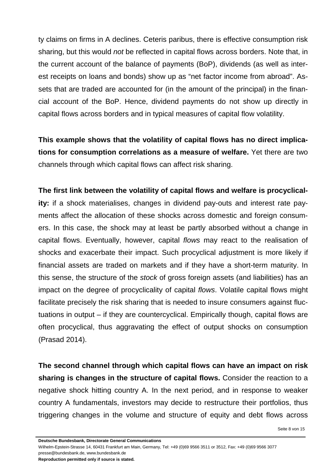ty claims on firms in A declines. Ceteris paribus, there is effective consumption risk sharing, but this would *not* be reflected in capital flows across borders. Note that, in the current account of the balance of payments (BoP), dividends (as well as interest receipts on loans and bonds) show up as "net factor income from abroad". Assets that are traded are accounted for (in the amount of the principal) in the financial account of the BoP. Hence, dividend payments do not show up directly in capital flows across borders and in typical measures of capital flow volatility.

**This example shows that the volatility of capital flows has no direct implications for consumption correlations as a measure of welfare.** Yet there are two channels through which capital flows can affect risk sharing.

**The first link between the volatility of capital flows and welfare is procyclicality:** if a shock materialises, changes in dividend pay-outs and interest rate payments affect the allocation of these shocks across domestic and foreign consumers. In this case, the shock may at least be partly absorbed without a change in capital flows. Eventually, however, capital *flows* may react to the realisation of shocks and exacerbate their impact. Such procyclical adjustment is more likely if financial assets are traded on markets and if they have a short-term maturity. In this sense, the structure of the *stock* of gross foreign assets (and liabilities) has an impact on the degree of procyclicality of capital *flows*. Volatile capital flows might facilitate precisely the risk sharing that is needed to insure consumers against fluctuations in output – if they are countercyclical. Empirically though, capital flows are often procyclical, thus aggravating the effect of output shocks on consumption (Prasad 2014).

**The second channel through which capital flows can have an impact on risk sharing is changes in the structure of capital flows.** Consider the reaction to a negative shock hitting country A. In the next period, and in response to weaker country A fundamentals, investors may decide to restructure their portfolios, thus triggering changes in the volume and structure of equity and debt flows across

Seite 8 von 15

Wilhelm-Epstein-Strasse 14, 60431 Frankfurt am Main, Germany, Tel: +49 (0)69 9566 3511 or 3512, Fax: +49 (0)69 9566 3077 presse@bundesbank.de, www.bundesbank.de

**Deutsche Bundesbank, Directorate General Communications**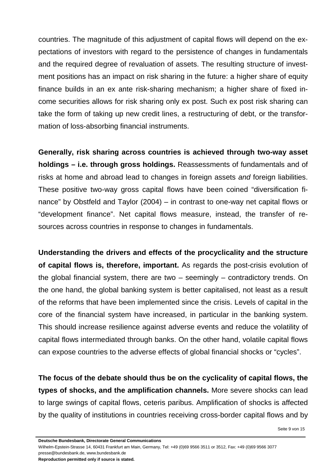countries. The magnitude of this adjustment of capital flows will depend on the expectations of investors with regard to the persistence of changes in fundamentals and the required degree of revaluation of assets. The resulting structure of investment positions has an impact on risk sharing in the future: a higher share of equity finance builds in an ex ante risk-sharing mechanism; a higher share of fixed income securities allows for risk sharing only ex post. Such ex post risk sharing can take the form of taking up new credit lines, a restructuring of debt, or the transformation of loss-absorbing financial instruments.

**Generally, risk sharing across countries is achieved through two-way asset holdings – i.e. through gross holdings.** Reassessments of fundamentals and of risks at home and abroad lead to changes in foreign assets *and* foreign liabilities. These positive two-way gross capital flows have been coined "diversification finance" by Obstfeld and Taylor (2004) – in contrast to one-way net capital flows or "development finance". Net capital flows measure, instead, the transfer of resources across countries in response to changes in fundamentals.

**Understanding the drivers and effects of the procyclicality and the structure of capital flows is, therefore, important.** As regards the post-crisis evolution of the global financial system, there are two – seemingly – contradictory trends. On the one hand, the global banking system is better capitalised, not least as a result of the reforms that have been implemented since the crisis. Levels of capital in the core of the financial system have increased, in particular in the banking system. This should increase resilience against adverse events and reduce the volatility of capital flows intermediated through banks. On the other hand, volatile capital flows can expose countries to the adverse effects of global financial shocks or "cycles".

**The focus of the debate should thus be on the cyclicality of capital flows, the types of shocks, and the amplification channels.** More severe shocks can lead to large swings of capital flows, ceteris paribus. Amplification of shocks is affected by the quality of institutions in countries receiving cross-border capital flows and by

**Deutsche Bundesbank, Directorate General Communications**

Wilhelm-Epstein-Strasse 14, 60431 Frankfurt am Main, Germany, Tel: +49 (0)69 9566 3511 or 3512, Fax: +49 (0)69 9566 3077 presse@bundesbank.de, www.bundesbank.de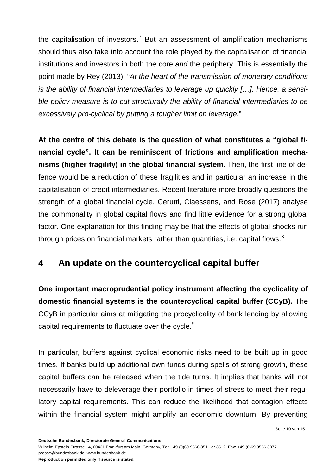the capitalisation of investors.<sup>[7](#page-14-6)</sup> But an assessment of amplification mechanisms should thus also take into account the role played by the capitalisation of financial institutions and investors in both the core *and* the periphery. This is essentially the point made by Rey (2013): "*At the heart of the transmission of monetary conditions is the ability of financial intermediaries to leverage up quickly […]. Hence, a sensible policy measure is to cut structurally the ability of financial intermediaries to be excessively pro-cyclical by putting a tougher limit on leverage.*"

**At the centre of this debate is the question of what constitutes a "global financial cycle". It can be reminiscent of frictions and amplification mechanisms (higher fragility) in the global financial system.** Then, the first line of defence would be a reduction of these fragilities and in particular an increase in the capitalisation of credit intermediaries. Recent literature more broadly questions the strength of a global financial cycle. Cerutti, Claessens, and Rose (2017) analyse the commonality in global capital flows and find little evidence for a strong global factor. One explanation for this finding may be that the effects of global shocks run through prices on financial markets rather than quantities, i.e. capital flows. $8$ 

### **4 An update on the countercyclical capital buffer**

**One important macroprudential policy instrument affecting the cyclicality of domestic financial systems is the countercyclical capital buffer (CCyB).** The CCyB in particular aims at mitigating the procyclicality of bank lending by allowing capital requirements to fluctuate over the cycle.<sup>[9](#page-14-8)</sup>

In particular, buffers against cyclical economic risks need to be built up in good times. If banks build up additional own funds during spells of strong growth, these capital buffers can be released when the tide turns. It implies that banks will not necessarily have to deleverage their portfolio in times of stress to meet their regulatory capital requirements. This can reduce the likelihood that contagion effects within the financial system might amplify an economic downturn. By preventing

Seite 10 von 15

**Deutsche Bundesbank, Directorate General Communications**

Wilhelm-Epstein-Strasse 14, 60431 Frankfurt am Main, Germany, Tel: +49 (0)69 9566 3511 or 3512, Fax: +49 (0)69 9566 3077 presse@bundesbank.de, www.bundesbank.de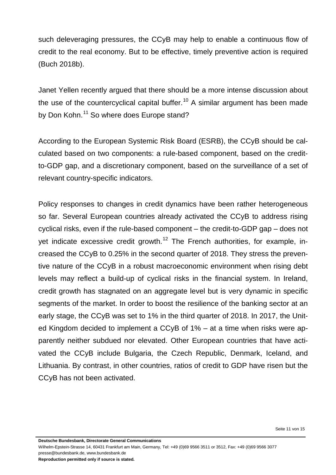such deleveraging pressures, the CCyB may help to enable a continuous flow of credit to the real economy. But to be effective, timely preventive action is required (Buch 2018b).

Janet Yellen recently argued that there should be a more intense discussion about the use of the countercyclical capital buffer.<sup>[10](#page-14-9)</sup> A similar argument has been made by Don Kohn.<sup>[11](#page-14-10)</sup> So where does Europe stand?

According to the European Systemic Risk Board (ESRB), the CCyB should be calculated based on two components: a rule-based component, based on the creditto-GDP gap, and a discretionary component, based on the surveillance of a set of relevant country-specific indicators.

Policy responses to changes in credit dynamics have been rather heterogeneous so far. Several European countries already activated the CCyB to address rising cyclical risks, even if the rule-based component – the credit-to-GDP gap – does not yet indicate excessive credit growth.<sup>[12](#page-14-11)</sup> The French authorities, for example, increased the CCyB to 0.25% in the second quarter of 2018. They stress the preventive nature of the CCyB in a robust macroeconomic environment when rising debt levels may reflect a build-up of cyclical risks in the financial system. In Ireland, credit growth has stagnated on an aggregate level but is very dynamic in specific segments of the market. In order to boost the resilience of the banking sector at an early stage, the CCyB was set to 1% in the third quarter of 2018. In 2017, the United Kingdom decided to implement a CCyB of 1% – at a time when risks were apparently neither subdued nor elevated. Other European countries that have activated the CCyB include Bulgaria, the Czech Republic, Denmark, Iceland, and Lithuania. By contrast, in other countries, ratios of credit to GDP have risen but the CCyB has not been activated.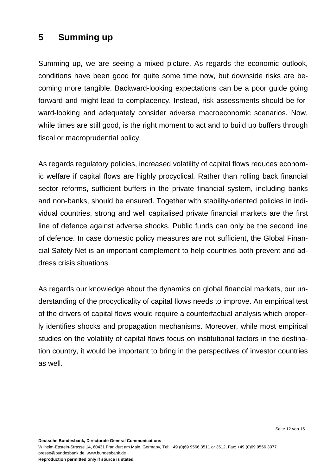## **5 Summing up**

Summing up, we are seeing a mixed picture. As regards the economic outlook, conditions have been good for quite some time now, but downside risks are becoming more tangible. Backward-looking expectations can be a poor guide going forward and might lead to complacency. Instead, risk assessments should be forward-looking and adequately consider adverse macroeconomic scenarios. Now, while times are still good, is the right moment to act and to build up buffers through fiscal or macroprudential policy.

As regards regulatory policies, increased volatility of capital flows reduces economic welfare if capital flows are highly procyclical. Rather than rolling back financial sector reforms, sufficient buffers in the private financial system, including banks and non-banks, should be ensured. Together with stability-oriented policies in individual countries, strong and well capitalised private financial markets are the first line of defence against adverse shocks. Public funds can only be the second line of defence. In case domestic policy measures are not sufficient, the Global Financial Safety Net is an important complement to help countries both prevent and address crisis situations.

As regards our knowledge about the dynamics on global financial markets, our understanding of the procyclicality of capital flows needs to improve. An empirical test of the drivers of capital flows would require a counterfactual analysis which properly identifies shocks and propagation mechanisms. Moreover, while most empirical studies on the volatility of capital flows focus on institutional factors in the destination country, it would be important to bring in the perspectives of investor countries as well.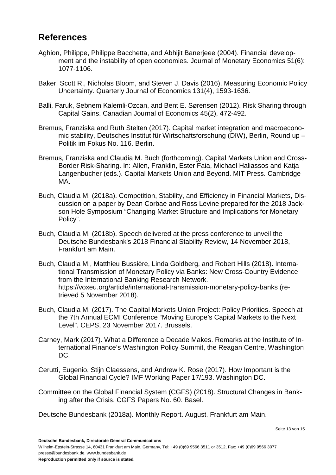#### **References**

- Aghion, Philippe, Philippe Bacchetta, and Abhijit Banerjeee (2004). Financial development and the instability of open economies. Journal of Monetary Economics 51(6): 1077-1106.
- Baker, Scott R., Nicholas Bloom, and Steven J. Davis (2016). Measuring Economic Policy Uncertainty. Quarterly Journal of Economics 131(4), 1593-1636.
- Balli, Faruk, Sebnem Kalemli-Ozcan, and Bent E. Sørensen (2012). Risk Sharing through Capital Gains. Canadian Journal of Economics 45(2), 472-492.
- Bremus, Franziska and Ruth Stelten (2017). Capital market integration and macroeconomic stability, Deutsches Institut für Wirtschaftsforschung (DIW), Berlin, Round up – Politik im Fokus No. 116. Berlin.
- Bremus, Franziska and Claudia M. Buch (forthcoming). Capital Markets Union and Cross-Border Risk-Sharing. In: Allen, Franklin, Ester Faia, Michael Haliassos and Katja Langenbucher (eds.). Capital Markets Union and Beyond. MIT Press. Cambridge MA.
- Buch, Claudia M. (2018a). Competition, Stability, and Efficiency in Financial Markets, Discussion on a paper by Dean Corbae and Ross Levine prepared for the 2018 Jackson Hole Symposium "Changing Market Structure and Implications for Monetary Policy".
- Buch, Claudia M. (2018b). Speech delivered at the press conference to unveil the Deutsche Bundesbank's 2018 Financial Stability Review, 14 November 2018, Frankfurt am Main.
- Buch, Claudia M., Matthieu Bussière, Linda Goldberg, and Robert Hills (2018). International Transmission of Monetary Policy via Banks: New Cross-Country Evidence from the International Banking Research Network. https://voxeu.org/article/international-transmission-monetary-policy-banks (retrieved 5 November 2018).
- Buch, Claudia M. (2017). The Capital Markets Union Project: Policy Priorities. Speech at the 7th Annual ECMI Conference "Moving Europe's Capital Markets to the Next Level". CEPS, 23 November 2017. Brussels.
- Carney, Mark (2017). What a Difference a Decade Makes. Remarks at the Institute of International Finance's Washington Policy Summit, the Reagan Centre, Washington DC.
- Cerutti, Eugenio, Stijn Claessens, and Andrew K. Rose (2017). How Important is the Global Financial Cycle? IMF Working Paper 17/193. Washington DC.
- Committee on the Global Financial System (CGFS) (2018). Structural Changes in Banking after the Crisis. CGFS Papers No. 60. Basel.

Deutsche Bundesbank (2018a). Monthly Report. August. Frankfurt am Main.

Wilhelm-Epstein-Strasse 14, 60431 Frankfurt am Main, Germany, Tel: +49 (0)69 9566 3511 or 3512, Fax: +49 (0)69 9566 3077 presse@bundesbank.de, www.bundesbank.de

**Deutsche Bundesbank, Directorate General Communications**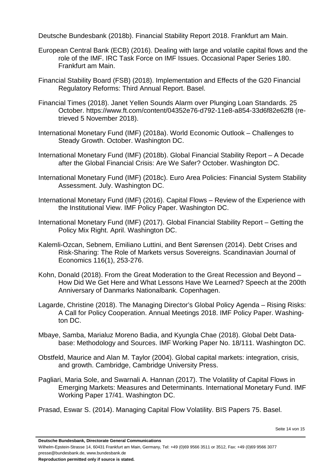Deutsche Bundesbank (2018b). Financial Stability Report 2018. Frankfurt am Main.

- European Central Bank (ECB) (2016). Dealing with large and volatile capital flows and the role of the IMF. IRC Task Force on IMF Issues. Occasional Paper Series 180. Frankfurt am Main.
- Financial Stability Board (FSB) (2018). Implementation and Effects of the G20 Financial Regulatory Reforms: Third Annual Report. Basel.
- Financial Times (2018). Janet Yellen Sounds Alarm over Plunging Loan Standards. 25 October. https://www.ft.com/content/04352e76-d792-11e8-a854-33d6f82e62f8 (retrieved 5 November 2018).
- International Monetary Fund (IMF) (2018a). World Economic Outlook Challenges to Steady Growth. October. Washington DC.
- International Monetary Fund (IMF) (2018b). Global Financial Stability Report A Decade after the Global Financial Crisis: Are We Safer? October. Washington DC.
- International Monetary Fund (IMF) (2018c). Euro Area Policies: Financial System Stability Assessment. July. Washington DC.
- International Monetary Fund (IMF) (2016). Capital Flows Review of the Experience with the Institutional View. IMF Policy Paper. Washington DC.
- International Monetary Fund (IMF) (2017). Global Financial Stability Report Getting the Policy Mix Right. April. Washington DC.
- Kalemli-Ozcan, Sebnem, Emiliano Luttini, and Bent Sørensen (2014). Debt Crises and Risk-Sharing: The Role of Markets versus Sovereigns. Scandinavian Journal of Economics 116(1), 253-276.
- Kohn, Donald (2018). From the Great Moderation to the Great Recession and Beyond How Did We Get Here and What Lessons Have We Learned? Speech at the 200th Anniversary of Danmarks Nationalbank. Copenhagen.
- Lagarde, Christine (2018). The Managing Director's Global Policy Agenda Rising Risks: A Call for Policy Cooperation. Annual Meetings 2018. IMF Policy Paper. Washington DC.
- Mbaye, Samba, Marialuz Moreno Badia, and Kyungla Chae (2018). Global Debt Database: Methodology and Sources. IMF Working Paper No. 18/111. Washington DC.
- Obstfeld, Maurice and Alan M. Taylor (2004). Global capital markets: integration, crisis, and growth. Cambridge, Cambridge University Press.
- Pagliari, Maria Sole, and Swarnali A. Hannan (2017). The Volatility of Capital Flows in Emerging Markets: Measures and Determinants. International Monetary Fund. IMF Working Paper 17/41. Washington DC.
- Prasad, Eswar S. (2014). Managing Capital Flow Volatility. BIS Papers 75. Basel.

Wilhelm-Epstein-Strasse 14, 60431 Frankfurt am Main, Germany, Tel: +49 (0)69 9566 3511 or 3512, Fax: +49 (0)69 9566 3077 presse@bundesbank.de, www.bundesbank.de